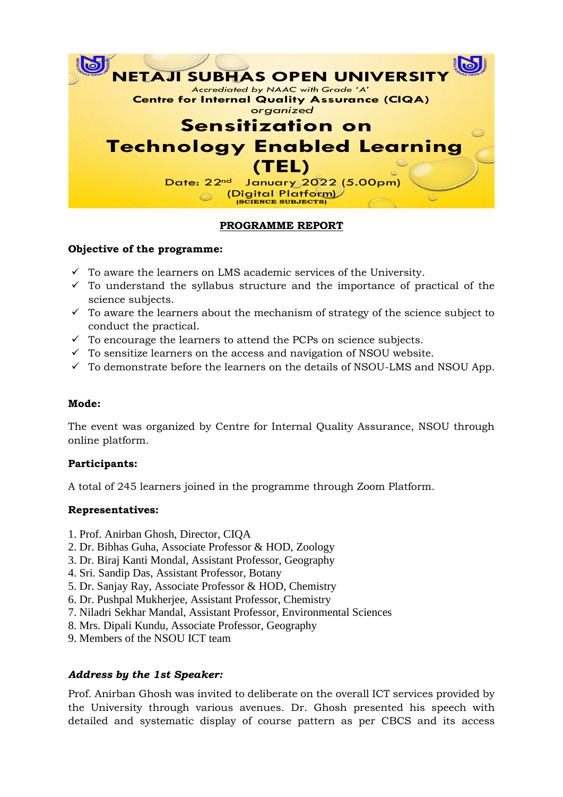

## **PROGRAMME REPORT**

#### **Objective of the programme:**

- $\checkmark$  To aware the learners on LMS academic services of the University.
- $\checkmark$  To understand the syllabus structure and the importance of practical of the science subjects.
- $\checkmark$  To aware the learners about the mechanism of strategy of the science subject to conduct the practical.
- $\checkmark$  To encourage the learners to attend the PCPs on science subjects.
- $\checkmark$  To sensitize learners on the access and navigation of NSOU website.
- $\checkmark$  To demonstrate before the learners on the details of NSOU-LMS and NSOU App.

#### **Mode:**

The event was organized by Centre for Internal Quality Assurance, NSOU through online platform.

#### **Participants:**

A total of 245 learners joined in the programme through Zoom Platform.

#### **Representatives:**

- 1. Prof. Anirban Ghosh, Director, CIQA
- 2. Dr. Bibhas Guha, Associate Professor & HOD, Zoology
- 3. Dr. Biraj Kanti Mondal, Assistant Professor, Geography
- 4. Sri. Sandip Das, Assistant Professor, Botany
- 5. Dr. Sanjay Ray, Associate Professor & HOD, Chemistry
- 6. Dr. Pushpal Mukherjee, Assistant Professor, Chemistry
- 7. Niladri Sekhar Mandal, Assistant Professor, Environmental Sciences
- 8. Mrs. Dipali Kundu, Associate Professor, Geography
- 9. Members of the NSOU ICT team

## *Address by the 1st Speaker:*

Prof. Anirban Ghosh was invited to deliberate on the overall ICT services provided by the University through various avenues. Dr. Ghosh presented his speech with detailed and systematic display of course pattern as per CBCS and its access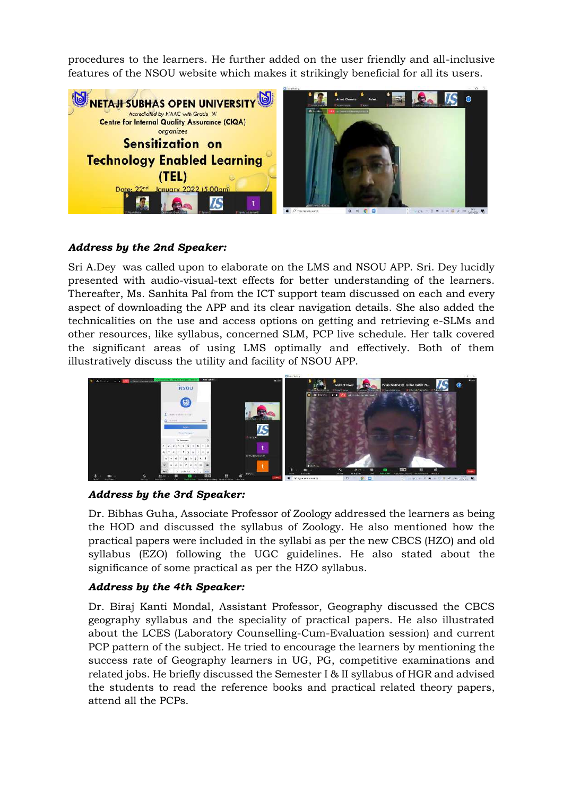procedures to the learners. He further added on the user friendly and all-inclusive features of the NSOU website which makes it strikingly beneficial for all its users.



## *Address by the 2nd Speaker:*

Sri A.Dey was called upon to elaborate on the LMS and NSOU APP. Sri. Dey lucidly presented with audio-visual-text effects for better understanding of the learners. Thereafter, Ms. Sanhita Pal from the ICT support team discussed on each and every aspect of downloading the APP and its clear navigation details. She also added the technicalities on the use and access options on getting and retrieving e-SLMs and other resources, like syllabus, concerned SLM, PCP live schedule. Her talk covered the significant areas of using LMS optimally and effectively. Both of them illustratively discuss the utility and facility of NSOU APP.



## *Address by the 3rd Speaker:*

Dr. Bibhas Guha, Associate Professor of Zoology addressed the learners as being the HOD and discussed the syllabus of Zoology. He also mentioned how the practical papers were included in the syllabi as per the new CBCS (HZO) and old syllabus (EZO) following the UGC guidelines. He also stated about the significance of some practical as per the HZO syllabus.

## *Address by the 4th Speaker:*

Dr. Biraj Kanti Mondal, Assistant Professor, Geography discussed the CBCS geography syllabus and the speciality of practical papers. He also illustrated about the LCES (Laboratory Counselling-Cum-Evaluation session) and current PCP pattern of the subject. He tried to encourage the learners by mentioning the success rate of Geography learners in UG, PG, competitive examinations and related jobs. He briefly discussed the Semester I & II syllabus of HGR and advised the students to read the reference books and practical related theory papers, attend all the PCPs.